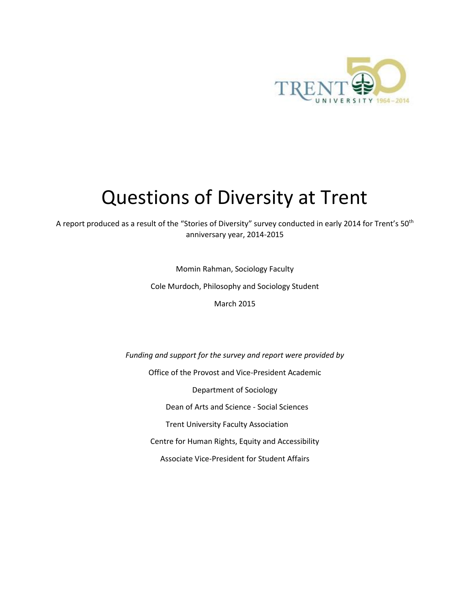

# Questions of Diversity at Trent

A report produced as a result of the "Stories of Diversity" survey conducted in early 2014 for Trent's 50<sup>th</sup> anniversary year, 2014-2015

Momin Rahman, Sociology Faculty

Cole Murdoch, Philosophy and Sociology Student

March 2015

*Funding and support for the survey and report were provided by* Office of the Provost and Vice-President Academic Department of Sociology Dean of Arts and Science - Social Sciences Trent University Faculty Association Centre for Human Rights, Equity and Accessibility Associate Vice-President for Student Affairs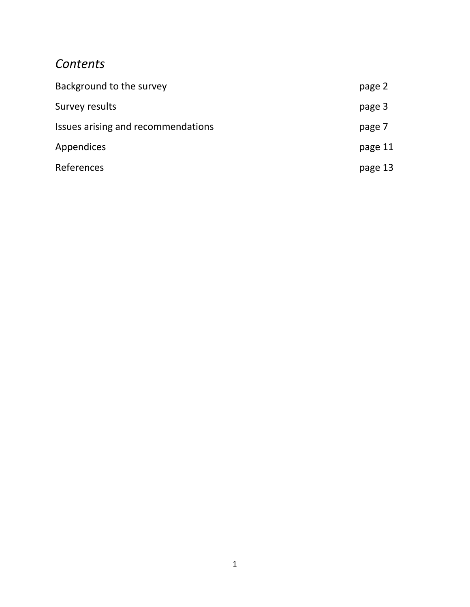# *Contents*

| Background to the survey           | page 2  |
|------------------------------------|---------|
| Survey results                     | page 3  |
| Issues arising and recommendations | page 7  |
| <b>Appendices</b>                  | page 11 |
| References                         | page 13 |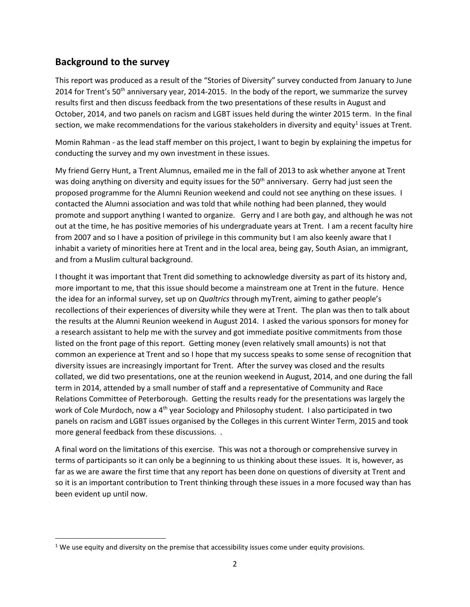# **Background to the survey**

 $\overline{\phantom{a}}$ 

This report was produced as a result of the "Stories of Diversity" survey conducted from January to June 2014 for Trent's 50<sup>th</sup> anniversary year, 2014-2015. In the body of the report, we summarize the survey results first and then discuss feedback from the two presentations of these results in August and October, 2014, and two panels on racism and LGBT issues held during the winter 2015 term. In the final section, we make recommendations for the various stakeholders in diversity and equity<sup>1</sup> issues at Trent.

Momin Rahman - as the lead staff member on this project, I want to begin by explaining the impetus for conducting the survey and my own investment in these issues.

My friend Gerry Hunt, a Trent Alumnus, emailed me in the fall of 2013 to ask whether anyone at Trent was doing anything on diversity and equity issues for the 50<sup>th</sup> anniversary. Gerry had just seen the proposed programme for the Alumni Reunion weekend and could not see anything on these issues. I contacted the Alumni association and was told that while nothing had been planned, they would promote and support anything I wanted to organize. Gerry and I are both gay, and although he was not out at the time, he has positive memories of his undergraduate years at Trent. I am a recent faculty hire from 2007 and so I have a position of privilege in this community but I am also keenly aware that I inhabit a variety of minorities here at Trent and in the local area, being gay, South Asian, an immigrant, and from a Muslim cultural background.

I thought it was important that Trent did something to acknowledge diversity as part of its history and, more important to me, that this issue should become a mainstream one at Trent in the future. Hence the idea for an informal survey, set up on *Qualtrics* through myTrent, aiming to gather people's recollections of their experiences of diversity while they were at Trent. The plan was then to talk about the results at the Alumni Reunion weekend in August 2014. I asked the various sponsors for money for a research assistant to help me with the survey and got immediate positive commitments from those listed on the front page of this report. Getting money (even relatively small amounts) is not that common an experience at Trent and so I hope that my success speaks to some sense of recognition that diversity issues are increasingly important for Trent. After the survey was closed and the results collated, we did two presentations, one at the reunion weekend in August, 2014, and one during the fall term in 2014, attended by a small number of staff and a representative of Community and Race Relations Committee of Peterborough. Getting the results ready for the presentations was largely the work of Cole Murdoch, now a  $4<sup>th</sup>$  year Sociology and Philosophy student. I also participated in two panels on racism and LGBT issues organised by the Colleges in this current Winter Term, 2015 and took more general feedback from these discussions. .

A final word on the limitations of this exercise. This was not a thorough or comprehensive survey in terms of participants so it can only be a beginning to us thinking about these issues. It is, however, as far as we are aware the first time that any report has been done on questions of diversity at Trent and so it is an important contribution to Trent thinking through these issues in a more focused way than has been evident up until now.

 $1$  We use equity and diversity on the premise that accessibility issues come under equity provisions.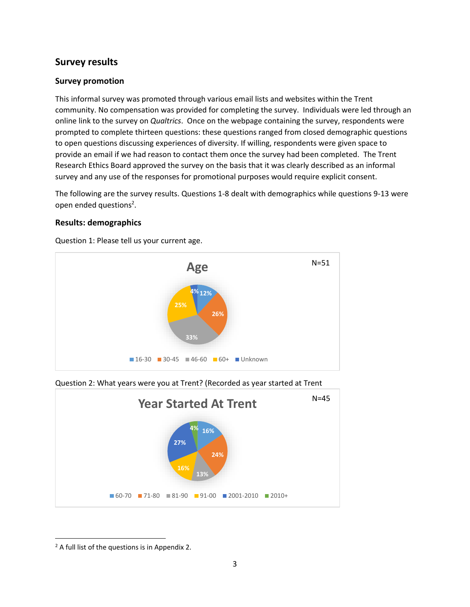# **Survey results**

# **Survey promotion**

This informal survey was promoted through various email lists and websites within the Trent community. No compensation was provided for completing the survey. Individuals were led through an online link to the survey on *Qualtrics*. Once on the webpage containing the survey, respondents were prompted to complete thirteen questions: these questions ranged from closed demographic questions to open questions discussing experiences of diversity. If willing, respondents were given space to provide an email if we had reason to contact them once the survey had been completed. The Trent Research Ethics Board approved the survey on the basis that it was clearly described as an informal survey and any use of the responses for promotional purposes would require explicit consent.

The following are the survey results. Questions 1-8 dealt with demographics while questions 9-13 were open ended questions<sup>2</sup>.

# **Results: demographics**

Question 1: Please tell us your current age.



Question 2: What years were you at Trent? (Recorded as year started at Trent



 $\overline{\phantom{a}}$ 

<sup>&</sup>lt;sup>2</sup> A full list of the questions is in Appendix 2.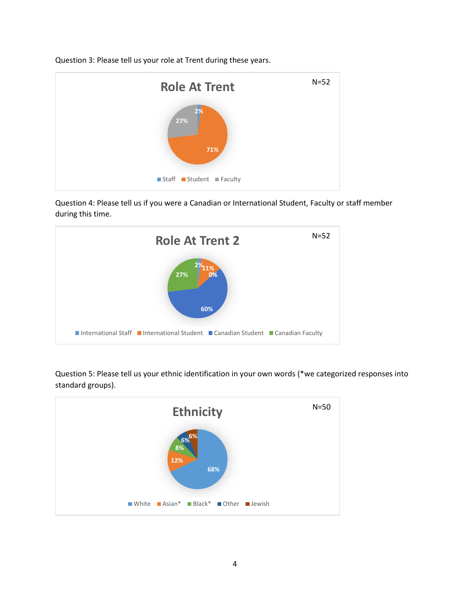Question 3: Please tell us your role at Trent during these years.



Question 4: Please tell us if you were a Canadian or International Student, Faculty or staff member during this time.



Question 5: Please tell us your ethnic identification in your own words (\*we categorized responses into standard groups).

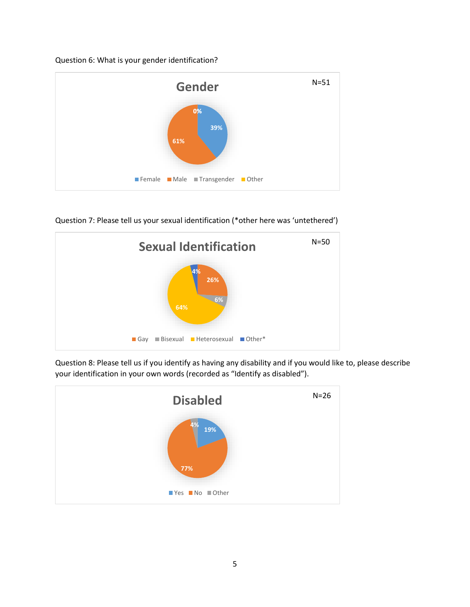Question 6: What is your gender identification?



Question 7: Please tell us your sexual identification (\*other here was 'untethered')



Question 8: Please tell us if you identify as having any disability and if you would like to, please describe your identification in your own words (recorded as "Identify as disabled").

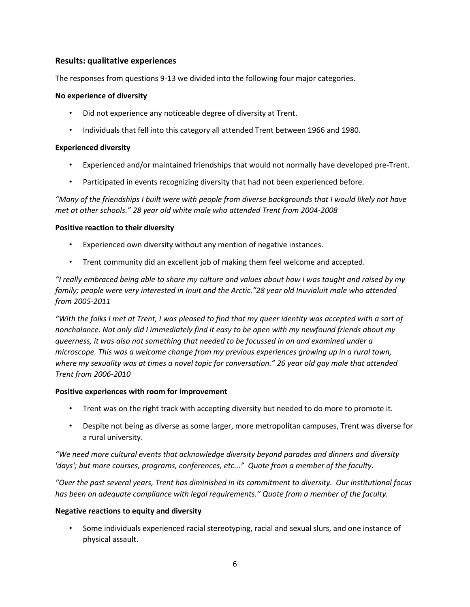# **Results: qualitative experiences**

The responses from questions 9-13 we divided into the following four major categories.

# **No experience of diversity**

- Did not experience any noticeable degree of diversity at Trent.
- Individuals that fell into this category all attended Trent between 1966 and 1980.

### **Experienced diversity**

- Experienced and/or maintained friendships that would not normally have developed pre-Trent.
- Participated in events recognizing diversity that had not been experienced before.

*"Many of the friendships I built were with people from diverse backgrounds that I would likely not have met at other schools." 28 year old white male who attended Trent from 2004-2008*

#### **Positive reaction to their diversity**

- Experienced own diversity without any mention of negative instances.
- Trent community did an excellent job of making them feel welcome and accepted.

*"I really embraced being able to share my culture and values about how I was taught and raised by my family; people were very interested in Inuit and the Arctic."28 year old Inuvialuit male who attended from 2005-2011*

*"With the folks I met at Trent, I was pleased to find that my queer identity was accepted with a sort of nonchalance. Not only did I immediately find it easy to be open with my newfound friends about my queerness, it was also not something that needed to be focussed in on and examined under a microscope. This was a welcome change from my previous experiences growing up in a rural town, where my sexuality was at times a novel topic for conversation." 26 year old gay male that attended Trent from 2006-2010*

# **Positive experiences with room for improvement**

- Trent was on the right track with accepting diversity but needed to do more to promote it.
- Despite not being as diverse as some larger, more metropolitan campuses, Trent was diverse for a rural university.

*"We need more cultural events that acknowledge diversity beyond parades and dinners and diversity 'days'; but more courses, programs, conferences, etc..." Quote from a member of the faculty.*

*"Over the past several years, Trent has diminished in its commitment to diversity. Our institutional focus*  has been on adequate compliance with legal requirements." Quote from a member of the faculty.

# **Negative reactions to equity and diversity**

• Some individuals experienced racial stereotyping, racial and sexual slurs, and one instance of physical assault.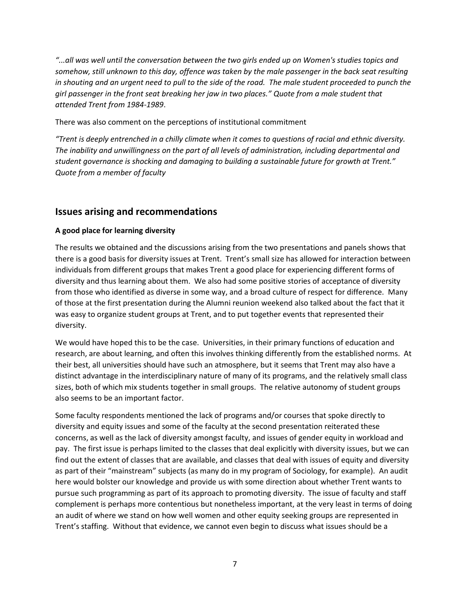*"...all was well until the conversation between the two girls ended up on Women's studies topics and somehow, still unknown to this day, offence was taken by the male passenger in the back seat resulting in shouting and an urgent need to pull to the side of the road. The male student proceeded to punch the girl passenger in the front seat breaking her jaw in two places." Quote from a male student that attended Trent from 1984-1989*.

### There was also comment on the perceptions of institutional commitment

*"Trent is deeply entrenched in a chilly climate when it comes to questions of racial and ethnic diversity. The inability and unwillingness on the part of all levels of administration, including departmental and student governance is shocking and damaging to building a sustainable future for growth at Trent." Quote from a member of faculty*

# **Issues arising and recommendations**

# **A good place for learning diversity**

The results we obtained and the discussions arising from the two presentations and panels shows that there is a good basis for diversity issues at Trent. Trent's small size has allowed for interaction between individuals from different groups that makes Trent a good place for experiencing different forms of diversity and thus learning about them. We also had some positive stories of acceptance of diversity from those who identified as diverse in some way, and a broad culture of respect for difference. Many of those at the first presentation during the Alumni reunion weekend also talked about the fact that it was easy to organize student groups at Trent, and to put together events that represented their diversity.

We would have hoped this to be the case. Universities, in their primary functions of education and research, are about learning, and often this involves thinking differently from the established norms. At their best, all universities should have such an atmosphere, but it seems that Trent may also have a distinct advantage in the interdisciplinary nature of many of its programs, and the relatively small class sizes, both of which mix students together in small groups. The relative autonomy of student groups also seems to be an important factor.

Some faculty respondents mentioned the lack of programs and/or courses that spoke directly to diversity and equity issues and some of the faculty at the second presentation reiterated these concerns, as well as the lack of diversity amongst faculty, and issues of gender equity in workload and pay. The first issue is perhaps limited to the classes that deal explicitly with diversity issues, but we can find out the extent of classes that are available, and classes that deal with issues of equity and diversity as part of their "mainstream" subjects (as many do in my program of Sociology, for example). An audit here would bolster our knowledge and provide us with some direction about whether Trent wants to pursue such programming as part of its approach to promoting diversity. The issue of faculty and staff complement is perhaps more contentious but nonetheless important, at the very least in terms of doing an audit of where we stand on how well women and other equity seeking groups are represented in Trent's staffing. Without that evidence, we cannot even begin to discuss what issues should be a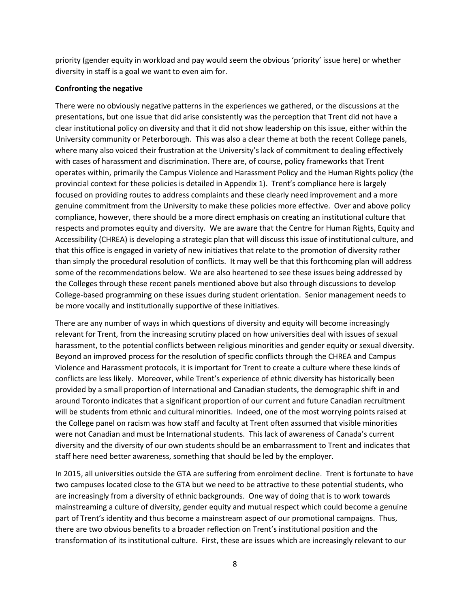priority (gender equity in workload and pay would seem the obvious 'priority' issue here) or whether diversity in staff is a goal we want to even aim for.

# **Confronting the negative**

There were no obviously negative patterns in the experiences we gathered, or the discussions at the presentations, but one issue that did arise consistently was the perception that Trent did not have a clear institutional policy on diversity and that it did not show leadership on this issue, either within the University community or Peterborough. This was also a clear theme at both the recent College panels, where many also voiced their frustration at the University's lack of commitment to dealing effectively with cases of harassment and discrimination. There are, of course, policy frameworks that Trent operates within, primarily the Campus Violence and Harassment Policy and the Human Rights policy (the provincial context for these policies is detailed in Appendix 1). Trent's compliance here is largely focused on providing routes to address complaints and these clearly need improvement and a more genuine commitment from the University to make these policies more effective. Over and above policy compliance, however, there should be a more direct emphasis on creating an institutional culture that respects and promotes equity and diversity. We are aware that the Centre for Human Rights, Equity and Accessibility (CHREA) is developing a strategic plan that will discuss this issue of institutional culture, and that this office is engaged in variety of new initiatives that relate to the promotion of diversity rather than simply the procedural resolution of conflicts. It may well be that this forthcoming plan will address some of the recommendations below. We are also heartened to see these issues being addressed by the Colleges through these recent panels mentioned above but also through discussions to develop College-based programming on these issues during student orientation. Senior management needs to be more vocally and institutionally supportive of these initiatives.

There are any number of ways in which questions of diversity and equity will become increasingly relevant for Trent, from the increasing scrutiny placed on how universities deal with issues of sexual harassment, to the potential conflicts between religious minorities and gender equity or sexual diversity. Beyond an improved process for the resolution of specific conflicts through the CHREA and Campus Violence and Harassment protocols, it is important for Trent to create a culture where these kinds of conflicts are less likely. Moreover, while Trent's experience of ethnic diversity has historically been provided by a small proportion of International and Canadian students, the demographic shift in and around Toronto indicates that a significant proportion of our current and future Canadian recruitment will be students from ethnic and cultural minorities. Indeed, one of the most worrying points raised at the College panel on racism was how staff and faculty at Trent often assumed that visible minorities were not Canadian and must be International students. This lack of awareness of Canada's current diversity and the diversity of our own students should be an embarrassment to Trent and indicates that staff here need better awareness, something that should be led by the employer.

In 2015, all universities outside the GTA are suffering from enrolment decline. Trent is fortunate to have two campuses located close to the GTA but we need to be attractive to these potential students, who are increasingly from a diversity of ethnic backgrounds. One way of doing that is to work towards mainstreaming a culture of diversity, gender equity and mutual respect which could become a genuine part of Trent's identity and thus become a mainstream aspect of our promotional campaigns. Thus, there are two obvious benefits to a broader reflection on Trent's institutional position and the transformation of its institutional culture. First, these are issues which are increasingly relevant to our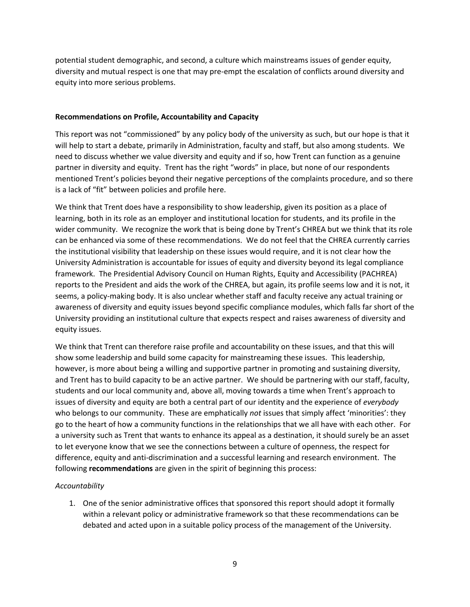potential student demographic, and second, a culture which mainstreams issues of gender equity, diversity and mutual respect is one that may pre-empt the escalation of conflicts around diversity and equity into more serious problems.

#### **Recommendations on Profile, Accountability and Capacity**

This report was not "commissioned" by any policy body of the university as such, but our hope is that it will help to start a debate, primarily in Administration, faculty and staff, but also among students. We need to discuss whether we value diversity and equity and if so, how Trent can function as a genuine partner in diversity and equity. Trent has the right "words" in place, but none of our respondents mentioned Trent's policies beyond their negative perceptions of the complaints procedure, and so there is a lack of "fit" between policies and profile here.

We think that Trent does have a responsibility to show leadership, given its position as a place of learning, both in its role as an employer and institutional location for students, and its profile in the wider community. We recognize the work that is being done by Trent's CHREA but we think that its role can be enhanced via some of these recommendations. We do not feel that the CHREA currently carries the institutional visibility that leadership on these issues would require, and it is not clear how the University Administration is accountable for issues of equity and diversity beyond its legal compliance framework. The Presidential Advisory Council on Human Rights, Equity and Accessibility (PACHREA) reports to the President and aids the work of the CHREA, but again, its profile seems low and it is not, it seems, a policy-making body. It is also unclear whether staff and faculty receive any actual training or awareness of diversity and equity issues beyond specific compliance modules, which falls far short of the University providing an institutional culture that expects respect and raises awareness of diversity and equity issues.

We think that Trent can therefore raise profile and accountability on these issues, and that this will show some leadership and build some capacity for mainstreaming these issues. This leadership, however, is more about being a willing and supportive partner in promoting and sustaining diversity, and Trent has to build capacity to be an active partner. We should be partnering with our staff, faculty, students and our local community and, above all, moving towards a time when Trent's approach to issues of diversity and equity are both a central part of our identity and the experience of *everybody* who belongs to our community. These are emphatically *not* issues that simply affect 'minorities': they go to the heart of how a community functions in the relationships that we all have with each other. For a university such as Trent that wants to enhance its appeal as a destination, it should surely be an asset to let everyone know that we see the connections between a culture of openness, the respect for difference, equity and anti-discrimination and a successful learning and research environment. The following **recommendations** are given in the spirit of beginning this process:

# *Accountability*

1. One of the senior administrative offices that sponsored this report should adopt it formally within a relevant policy or administrative framework so that these recommendations can be debated and acted upon in a suitable policy process of the management of the University.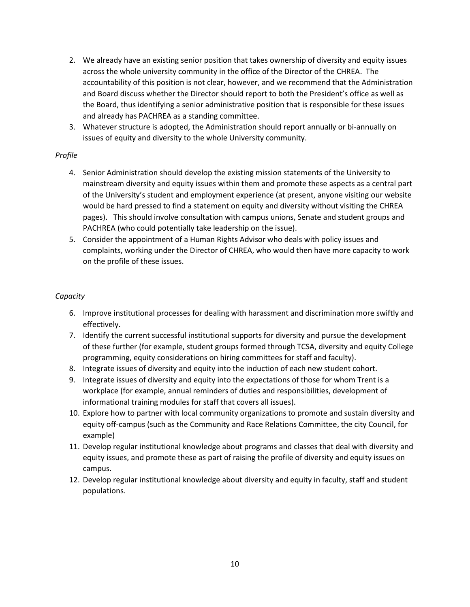- 2. We already have an existing senior position that takes ownership of diversity and equity issues across the whole university community in the office of the Director of the CHREA. The accountability of this position is not clear, however, and we recommend that the Administration and Board discuss whether the Director should report to both the President's office as well as the Board, thus identifying a senior administrative position that is responsible for these issues and already has PACHREA as a standing committee.
- 3. Whatever structure is adopted, the Administration should report annually or bi-annually on issues of equity and diversity to the whole University community.

# *Profile*

- 4. Senior Administration should develop the existing mission statements of the University to mainstream diversity and equity issues within them and promote these aspects as a central part of the University's student and employment experience (at present, anyone visiting our website would be hard pressed to find a statement on equity and diversity without visiting the CHREA pages). This should involve consultation with campus unions, Senate and student groups and PACHREA (who could potentially take leadership on the issue).
- 5. Consider the appointment of a Human Rights Advisor who deals with policy issues and complaints, working under the Director of CHREA, who would then have more capacity to work on the profile of these issues.

# *Capacity*

- 6. Improve institutional processes for dealing with harassment and discrimination more swiftly and effectively.
- 7. Identify the current successful institutional supports for diversity and pursue the development of these further (for example, student groups formed through TCSA, diversity and equity College programming, equity considerations on hiring committees for staff and faculty).
- 8. Integrate issues of diversity and equity into the induction of each new student cohort.
- 9. Integrate issues of diversity and equity into the expectations of those for whom Trent is a workplace (for example, annual reminders of duties and responsibilities, development of informational training modules for staff that covers all issues).
- 10. Explore how to partner with local community organizations to promote and sustain diversity and equity off-campus (such as the Community and Race Relations Committee, the city Council, for example)
- 11. Develop regular institutional knowledge about programs and classes that deal with diversity and equity issues, and promote these as part of raising the profile of diversity and equity issues on campus.
- 12. Develop regular institutional knowledge about diversity and equity in faculty, staff and student populations.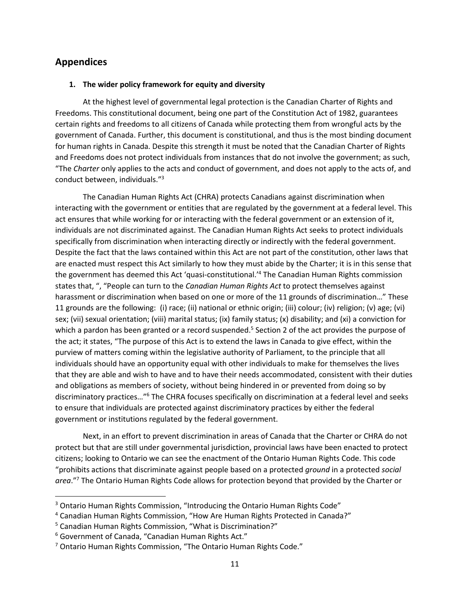# **Appendices**

### **1. The wider policy framework for equity and diversity**

At the highest level of governmental legal protection is the Canadian Charter of Rights and Freedoms. This constitutional document, being one part of the Constitution Act of 1982, guarantees certain rights and freedoms to all citizens of Canada while protecting them from wrongful acts by the government of Canada. Further, this document is constitutional, and thus is the most binding document for human rights in Canada. Despite this strength it must be noted that the Canadian Charter of Rights and Freedoms does not protect individuals from instances that do not involve the government; as such, "The *Charter* only applies to the acts and conduct of government, and does not apply to the acts of, and conduct between, individuals."<sup>3</sup>

The Canadian Human Rights Act (CHRA) protects Canadians against discrimination when interacting with the government or entities that are regulated by the government at a federal level. This act ensures that while working for or interacting with the federal government or an extension of it, individuals are not discriminated against. The Canadian Human Rights Act seeks to protect individuals specifically from discrimination when interacting directly or indirectly with the federal government. Despite the fact that the laws contained within this Act are not part of the constitution, other laws that are enacted must respect this Act similarly to how they must abide by the Charter; it is in this sense that the government has deemed this Act 'quasi-constitutional.'<sup>4</sup> The Canadian Human Rights commission states that, ", "People can turn to the *Canadian Human Rights Act* to protect themselves against harassment or discrimination when based on one or more of the 11 grounds of discrimination…" These 11 grounds are the following: (i) race; (ii) national or ethnic origin; (iii) colour; (iv) religion; (v) age; (vi) sex; (vii) sexual orientation; (viii) marital status; (ix) family status; (x) disability; and (xi) a conviction for which a pardon has been granted or a record suspended.<sup>5</sup> Section 2 of the act provides the purpose of the act; it states, "The purpose of this Act is to extend the laws in Canada to give effect, within the purview of matters coming within the legislative authority of Parliament, to the principle that all individuals should have an opportunity equal with other individuals to make for themselves the lives that they are able and wish to have and to have their needs accommodated, consistent with their duties and obligations as members of society, without being hindered in or prevented from doing so by discriminatory practices…"<sup>6</sup> The CHRA focuses specifically on discrimination at a federal level and seeks to ensure that individuals are protected against discriminatory practices by either the federal government or institutions regulated by the federal government.

Next, in an effort to prevent discrimination in areas of Canada that the Charter or CHRA do not protect but that are still under governmental jurisdiction, provincial laws have been enacted to protect citizens; looking to Ontario we can see the enactment of the Ontario Human Rights Code. This code "prohibits actions that discriminate against people based on a protected *ground* in a protected *social area*."<sup>7</sup> The Ontario Human Rights Code allows for protection beyond that provided by the Charter or

l

<sup>&</sup>lt;sup>3</sup> Ontario Human Rights Commission, "Introducing the Ontario Human Rights Code"

<sup>4</sup> Canadian Human Rights Commission, "How Are Human Rights Protected in Canada?"

<sup>5</sup> Canadian Human Rights Commission, "What is Discrimination?"

<sup>6</sup> Government of Canada, "Canadian Human Rights Act."

 $7$  Ontario Human Rights Commission, "The Ontario Human Rights Code."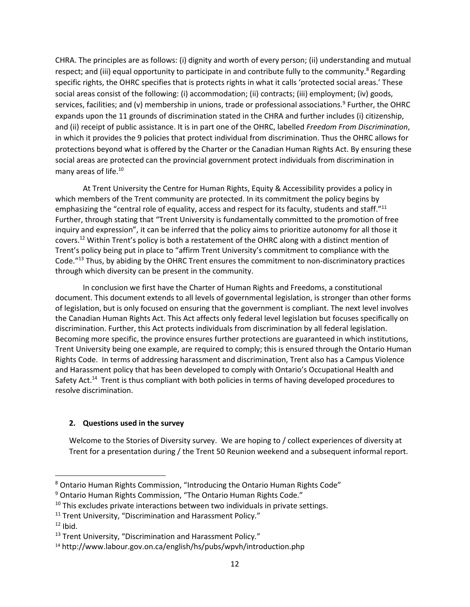CHRA. The principles are as follows: (i) dignity and worth of every person; (ii) understanding and mutual respect; and (iii) equal opportunity to participate in and contribute fully to the community.<sup>8</sup> Regarding specific rights, the OHRC specifies that is protects rights in what it calls 'protected social areas.' These social areas consist of the following: (i) accommodation; (ii) contracts; (iii) employment; (iv) goods, services, facilities; and (v) membership in unions, trade or professional associations.<sup>9</sup> Further, the OHRC expands upon the 11 grounds of discrimination stated in the CHRA and further includes (i) citizenship, and (ii) receipt of public assistance. It is in part one of the OHRC, labelled *Freedom From Discrimination*, in which it provides the 9 policies that protect individual from discrimination. Thus the OHRC allows for protections beyond what is offered by the Charter or the Canadian Human Rights Act. By ensuring these social areas are protected can the provincial government protect individuals from discrimination in many areas of life.<sup>10</sup>

At Trent University the Centre for Human Rights, Equity & Accessibility provides a policy in which members of the Trent community are protected. In its commitment the policy begins by emphasizing the "central role of equality, access and respect for its faculty, students and staff."<sup>11</sup> Further, through stating that "Trent University is fundamentally committed to the promotion of free inquiry and expression", it can be inferred that the policy aims to prioritize autonomy for all those it covers.<sup>12</sup> Within Trent's policy is both a restatement of the OHRC along with a distinct mention of Trent's policy being put in place to "affirm Trent University's commitment to compliance with the Code."<sup>13</sup> Thus, by abiding by the OHRC Trent ensures the commitment to non-discriminatory practices through which diversity can be present in the community.

In conclusion we first have the Charter of Human Rights and Freedoms, a constitutional document. This document extends to all levels of governmental legislation, is stronger than other forms of legislation, but is only focused on ensuring that the government is compliant. The next level involves the Canadian Human Rights Act. This Act affects only federal level legislation but focuses specifically on discrimination. Further, this Act protects individuals from discrimination by all federal legislation. Becoming more specific, the province ensures further protections are guaranteed in which institutions, Trent University being one example, are required to comply; this is ensured through the Ontario Human Rights Code. In terms of addressing harassment and discrimination, Trent also has a Campus Violence and Harassment policy that has been developed to comply with Ontario's Occupational Health and Safety Act.<sup>14</sup> Trent is thus compliant with both policies in terms of having developed procedures to resolve discrimination.

# **2. Questions used in the survey**

Welcome to the Stories of Diversity survey. We are hoping to / collect experiences of diversity at Trent for a presentation during / the Trent 50 Reunion weekend and a subsequent informal report.

 $\overline{\phantom{a}}$ 

<sup>&</sup>lt;sup>8</sup> Ontario Human Rights Commission, "Introducing the Ontario Human Rights Code"

<sup>&</sup>lt;sup>9</sup> Ontario Human Rights Commission, "The Ontario Human Rights Code."

 $10$  This excludes private interactions between two individuals in private settings.

<sup>&</sup>lt;sup>11</sup> Trent University, "Discrimination and Harassment Policy."

 $12$  Ibid.

<sup>&</sup>lt;sup>13</sup> Trent University, "Discrimination and Harassment Policy."

<sup>&</sup>lt;sup>14</sup> http://www.labour.gov.on.ca/english/hs/pubs/wpvh/introduction.php